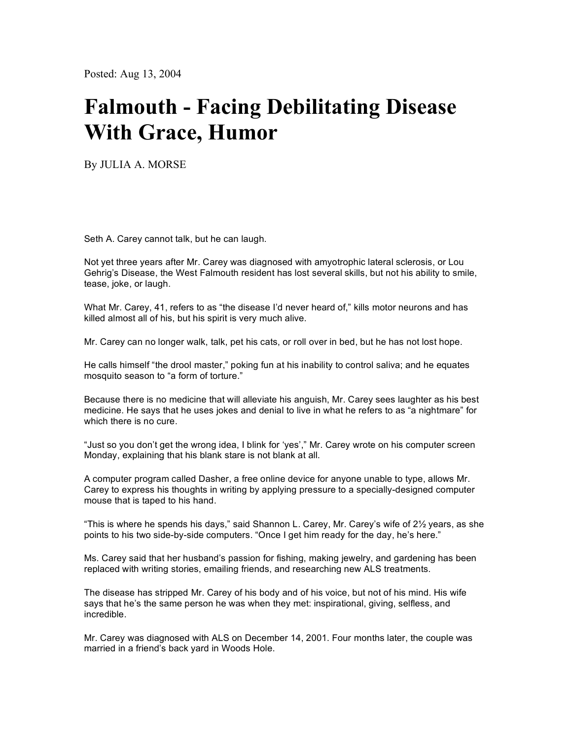Posted: Aug 13, 2004

## **Falmouth - Facing Debilitating Disease With Grace, Humor**

By JULIA A. MORSE

Seth A. Carey cannot talk, but he can laugh.

Not yet three years after Mr. Carey was diagnosed with amyotrophic lateral sclerosis, or Lou Gehrig's Disease, the West Falmouth resident has lost several skills, but not his ability to smile, tease, joke, or laugh.

What Mr. Carey, 41, refers to as "the disease I'd never heard of," kills motor neurons and has killed almost all of his, but his spirit is very much alive.

Mr. Carey can no longer walk, talk, pet his cats, or roll over in bed, but he has not lost hope.

He calls himself "the drool master," poking fun at his inability to control saliva; and he equates mosquito season to "a form of torture."

Because there is no medicine that will alleviate his anguish, Mr. Carey sees laughter as his best medicine. He says that he uses jokes and denial to live in what he refers to as "a nightmare" for which there is no cure.

"Just so you don't get the wrong idea, I blink for 'yes'," Mr. Carey wrote on his computer screen Monday, explaining that his blank stare is not blank at all.

A computer program called Dasher, a free online device for anyone unable to type, allows Mr. Carey to express his thoughts in writing by applying pressure to a specially-designed computer mouse that is taped to his hand.

"This is where he spends his days," said Shannon L. Carey, Mr. Carey's wife of  $2\frac{1}{2}$  years, as she points to his two side-by-side computers. "Once I get him ready for the day, he's here."

Ms. Carey said that her husband's passion for fishing, making jewelry, and gardening has been replaced with writing stories, emailing friends, and researching new ALS treatments.

The disease has stripped Mr. Carey of his body and of his voice, but not of his mind. His wife says that he's the same person he was when they met: inspirational, giving, selfless, and incredible.

Mr. Carey was diagnosed with ALS on December 14, 2001. Four months later, the couple was married in a friend's back yard in Woods Hole.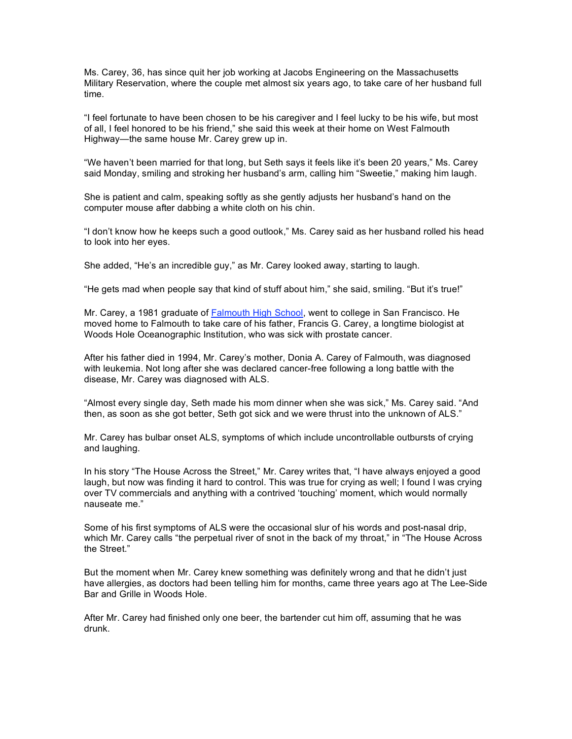Ms. Carey, 36, has since quit her job working at Jacobs Engineering on the Massachusetts Military Reservation, where the couple met almost six years ago, to take care of her husband full time.

"I feel fortunate to have been chosen to be his caregiver and I feel lucky to be his wife, but most of all, I feel honored to be his friend," she said this week at their home on West Falmouth Highway—the same house Mr. Carey grew up in.

"We haven't been married for that long, but Seth says it feels like it's been 20 years," Ms. Carey said Monday, smiling and stroking her husband's arm, calling him "Sweetie," making him laugh.

She is patient and calm, speaking softly as she gently adjusts her husband's hand on the computer mouse after dabbing a white cloth on his chin.

"I don't know how he keeps such a good outlook," Ms. Carey said as her husband rolled his head to look into her eyes.

She added, "He's an incredible guy," as Mr. Carey looked away, starting to laugh.

"He gets mad when people say that kind of stuff about him," she said, smiling. "But it's true!"

Mr. Carey, a 1981 graduate of Falmouth High School, went to college in San Francisco. He moved home to Falmouth to take care of his father, Francis G. Carey, a longtime biologist at Woods Hole Oceanographic Institution, who was sick with prostate cancer.

After his father died in 1994, Mr. Carey's mother, Donia A. Carey of Falmouth, was diagnosed with leukemia. Not long after she was declared cancer-free following a long battle with the disease, Mr. Carey was diagnosed with ALS.

"Almost every single day, Seth made his mom dinner when she was sick," Ms. Carey said. "And then, as soon as she got better, Seth got sick and we were thrust into the unknown of ALS."

Mr. Carey has bulbar onset ALS, symptoms of which include uncontrollable outbursts of crying and laughing.

In his story "The House Across the Street," Mr. Carey writes that, "I have always enjoyed a good laugh, but now was finding it hard to control. This was true for crying as well; I found I was crying over TV commercials and anything with a contrived 'touching' moment, which would normally nauseate me."

Some of his first symptoms of ALS were the occasional slur of his words and post-nasal drip, which Mr. Carey calls "the perpetual river of snot in the back of my throat," in "The House Across the Street."

But the moment when Mr. Carey knew something was definitely wrong and that he didn't just have allergies, as doctors had been telling him for months, came three years ago at The Lee-Side Bar and Grille in Woods Hole.

After Mr. Carey had finished only one beer, the bartender cut him off, assuming that he was drunk.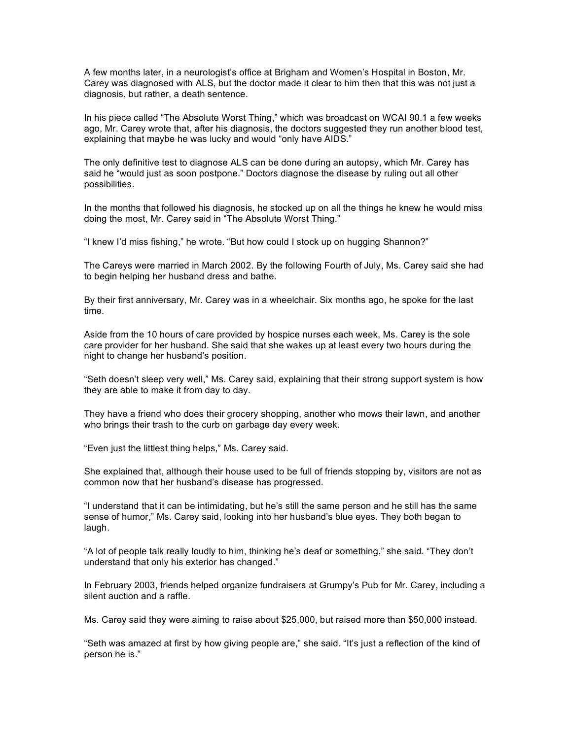A few months later, in a neurologist's office at Brigham and Women's Hospital in Boston, Mr. Carey was diagnosed with ALS, but the doctor made it clear to him then that this was not just a diagnosis, but rather, a death sentence.

In his piece called "The Absolute Worst Thing," which was broadcast on WCAI 90.1 a few weeks ago, Mr. Carey wrote that, after his diagnosis, the doctors suggested they run another blood test, explaining that maybe he was lucky and would "only have AIDS."

The only definitive test to diagnose ALS can be done during an autopsy, which Mr. Carey has said he "would just as soon postpone." Doctors diagnose the disease by ruling out all other possibilities.

In the months that followed his diagnosis, he stocked up on all the things he knew he would miss doing the most, Mr. Carey said in "The Absolute Worst Thing."

"I knew I'd miss fishing," he wrote. "But how could I stock up on hugging Shannon?"

The Careys were married in March 2002. By the following Fourth of July, Ms. Carey said she had to begin helping her husband dress and bathe.

By their first anniversary, Mr. Carey was in a wheelchair. Six months ago, he spoke for the last time.

Aside from the 10 hours of care provided by hospice nurses each week, Ms. Carey is the sole care provider for her husband. She said that she wakes up at least every two hours during the night to change her husband's position.

"Seth doesn't sleep very well," Ms. Carey said, explaining that their strong support system is how they are able to make it from day to day.

They have a friend who does their grocery shopping, another who mows their lawn, and another who brings their trash to the curb on garbage day every week.

"Even just the littlest thing helps," Ms. Carey said.

She explained that, although their house used to be full of friends stopping by, visitors are not as common now that her husband's disease has progressed.

"I understand that it can be intimidating, but he's still the same person and he still has the same sense of humor," Ms. Carey said, looking into her husband's blue eyes. They both began to laugh.

"A lot of people talk really loudly to him, thinking he's deaf or something," she said. "They don't understand that only his exterior has changed."

In February 2003, friends helped organize fundraisers at Grumpy's Pub for Mr. Carey, including a silent auction and a raffle.

Ms. Carey said they were aiming to raise about \$25,000, but raised more than \$50,000 instead.

"Seth was amazed at first by how giving people are," she said. "It's just a reflection of the kind of person he is."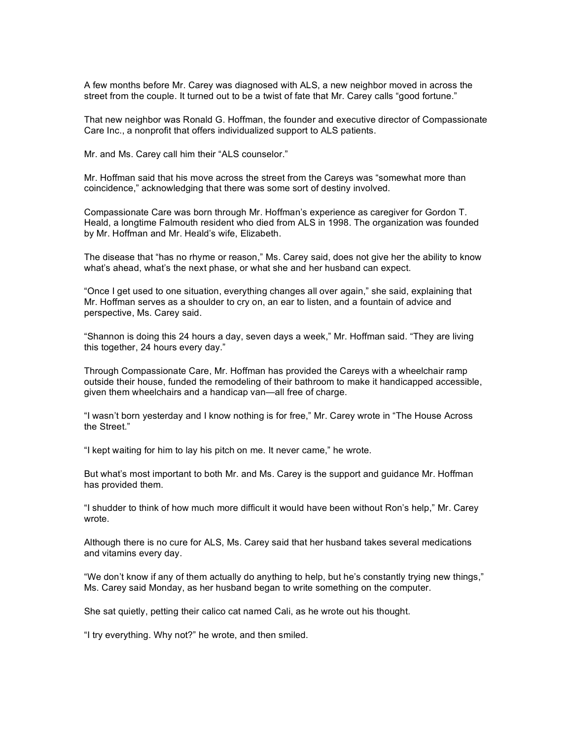A few months before Mr. Carey was diagnosed with ALS, a new neighbor moved in across the street from the couple. It turned out to be a twist of fate that Mr. Carey calls "good fortune."

That new neighbor was Ronald G. Hoffman, the founder and executive director of Compassionate Care Inc., a nonprofit that offers individualized support to ALS patients.

Mr. and Ms. Carey call him their "ALS counselor."

Mr. Hoffman said that his move across the street from the Careys was "somewhat more than coincidence," acknowledging that there was some sort of destiny involved.

Compassionate Care was born through Mr. Hoffman's experience as caregiver for Gordon T. Heald, a longtime Falmouth resident who died from ALS in 1998. The organization was founded by Mr. Hoffman and Mr. Heald's wife, Elizabeth.

The disease that "has no rhyme or reason," Ms. Carey said, does not give her the ability to know what's ahead, what's the next phase, or what she and her husband can expect.

"Once I get used to one situation, everything changes all over again," she said, explaining that Mr. Hoffman serves as a shoulder to cry on, an ear to listen, and a fountain of advice and perspective, Ms. Carey said.

"Shannon is doing this 24 hours a day, seven days a week," Mr. Hoffman said. "They are living this together, 24 hours every day."

Through Compassionate Care, Mr. Hoffman has provided the Careys with a wheelchair ramp outside their house, funded the remodeling of their bathroom to make it handicapped accessible, given them wheelchairs and a handicap van—all free of charge.

"I wasn't born yesterday and I know nothing is for free," Mr. Carey wrote in "The House Across the Street."

"I kept waiting for him to lay his pitch on me. It never came," he wrote.

But what's most important to both Mr. and Ms. Carey is the support and guidance Mr. Hoffman has provided them.

"I shudder to think of how much more difficult it would have been without Ron's help," Mr. Carey wrote.

Although there is no cure for ALS, Ms. Carey said that her husband takes several medications and vitamins every day.

"We don't know if any of them actually do anything to help, but he's constantly trying new things," Ms. Carey said Monday, as her husband began to write something on the computer.

She sat quietly, petting their calico cat named Cali, as he wrote out his thought.

"I try everything. Why not?" he wrote, and then smiled.